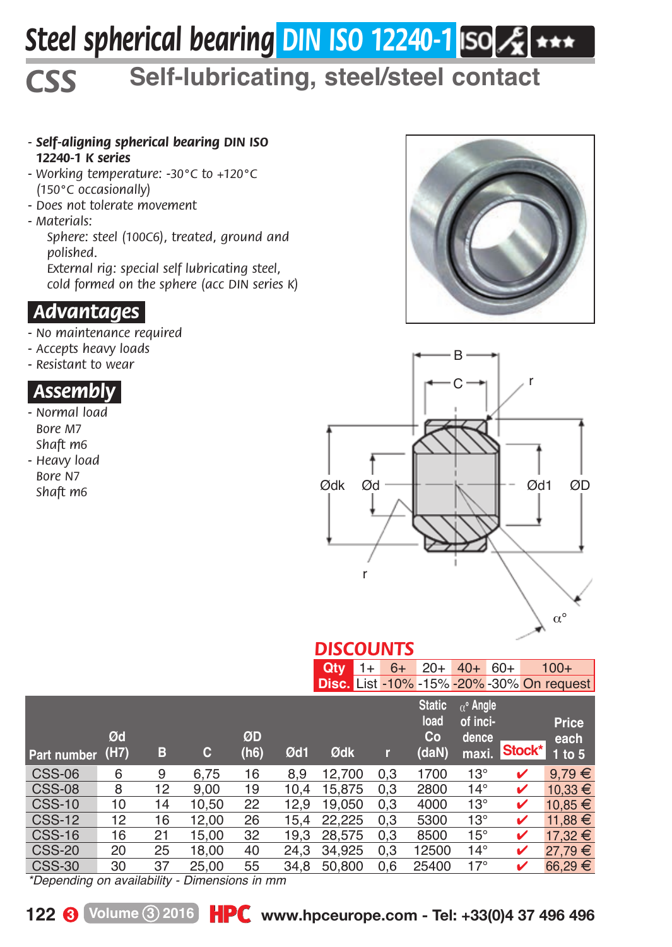# *Steel spherical bearing DIN ISO 12240-1*

## *CSS* **Self-lubricating, steel/steel contact**

- *Self-aligning spherical bearing DIN ISO 12240-1 K series*
- *Working temperature: -30°C to +120°C (150°C occasionally)*
- *Does not tolerate movement*
- *Materials:*

*Sphere: steel (100C6), treated, ground and polished.*

*External rig: special self lubricating steel, cold formed on the sphere (acc DIN series K)*

#### *.Advantages.*

- *No maintenance required*
- *Accepts heavy loads*
- *Resistant to wear*

#### *.Assembly.*

- *Normal load Bore M7 Shaft m6*
- *Heavy load Bore N7 Shaft m6*





### *DISCOUNTS*

|                                               |            |    |       |            |      | Qtv    | $1+$ | 20+<br>$6+$                          | $40+60+$                                             |        | 100+                                             |
|-----------------------------------------------|------------|----|-------|------------|------|--------|------|--------------------------------------|------------------------------------------------------|--------|--------------------------------------------------|
|                                               |            |    |       |            |      |        |      |                                      |                                                      |        | <b>Disc.</b> List -10% -15% -20% -30% On request |
| Part number                                   | Ød<br>(H7) | в  | С     | ØD<br>(h6) | Ød1  | Ødk    | r    | <b>Static</b><br>load<br>Co<br>(daN) | $\alpha^{\circ}$ Angle<br>of inci-<br>dence<br>maxi. | Stock* | Price<br>each<br>$1$ to 5                        |
| <b>CSS-06</b>                                 | 6          | 9  | 6.75  | 16         | 8.9  | 12.700 | 0.3  | 1700                                 | $13^\circ$                                           | v      | 9.79€                                            |
| <b>CSS-08</b>                                 | 8          | 12 | 9.00  | 19         | 10.4 | 15.875 | 0.3  | 2800                                 | $14^\circ$                                           | ✓      | 10.33 €                                          |
| <b>CSS-10</b>                                 | 10         | 14 | 10.50 | 22         | 12.9 | 19.050 | 0.3  | 4000                                 | $13^\circ$                                           | ✓      | 10,85 €                                          |
| <b>CSS-12</b>                                 | 12         | 16 | 12.00 | 26         | 15.4 | 22.225 | 0.3  | 5300                                 | $13^\circ$                                           | ✓      | 11.88 €                                          |
| <b>CSS-16</b>                                 | 16         | 21 | 15.00 | 32         | 19.3 | 28.575 | 0,3  | 8500                                 | $15^{\circ}$                                         | ✓      | 17.32€                                           |
| <b>CSS-20</b>                                 | 20         | 25 | 18.00 | 40         | 24.3 | 34.925 | 0.3  | 12500                                | $14^\circ$                                           | ✓      | 27.79€                                           |
| <b>CSS-30</b>                                 | 30         | 37 | 25.00 | 55         | 34.8 | 50,800 | 0.6  | 25400                                | $17^\circ$                                           | ✓      | 66,29€                                           |
| *Depending on availability - Dimensions in mm |            |    |       |            |      |        |      |                                      |                                                      |        |                                                  |